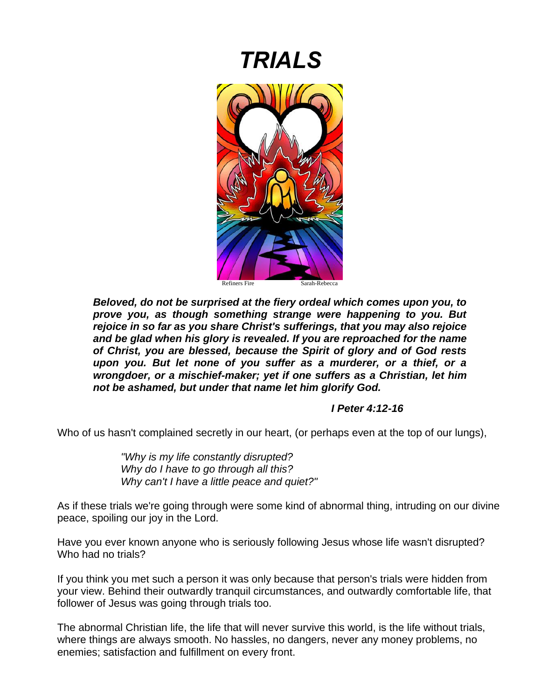# *TRIALS*



*Beloved, do not be surprised at the fiery ordeal which comes upon you, to prove you, as though something strange were happening to you. But rejoice in so far as you share Christ's sufferings, that you may also rejoice and be glad when his glory is revealed. If you are reproached for the name of Christ, you are blessed, because the Spirit of glory and of God rests upon you. But let none of you suffer as a murderer, or a thief, or a wrongdoer, or a mischief-maker; yet if one suffers as a Christian, let him not be ashamed, but under that name let him glorify God.*

## *I Peter 4:12-16*

Who of us hasn't complained secretly in our heart, (or perhaps even at the top of our lungs),

*"Why is my life constantly disrupted? Why do I have to go through all this? Why can't I have a little peace and quiet?"*

As if these trials we're going through were some kind of abnormal thing, intruding on our divine peace, spoiling our joy in the Lord.

Have you ever known anyone who is seriously following Jesus whose life wasn't disrupted? Who had no trials?

If you think you met such a person it was only because that person's trials were hidden from your view. Behind their outwardly tranquil circumstances, and outwardly comfortable life, that follower of Jesus was going through trials too.

The abnormal Christian life, the life that will never survive this world, is the life without trials, where things are always smooth. No hassles, no dangers, never any money problems, no enemies; satisfaction and fulfillment on every front.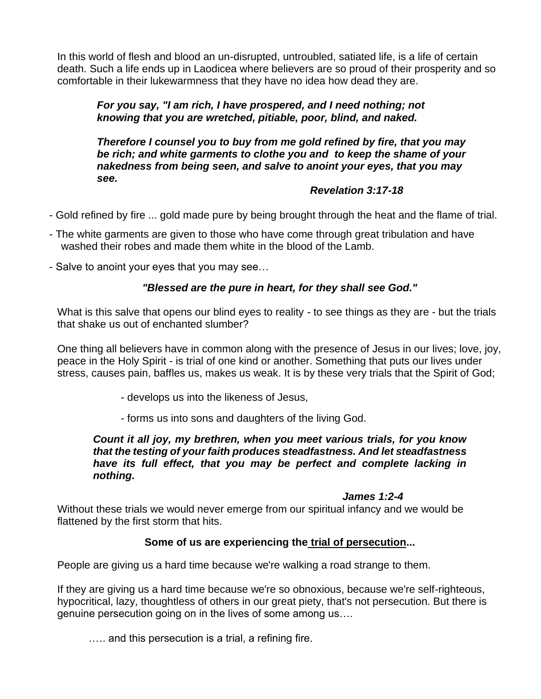In this world of flesh and blood an un-disrupted, untroubled, satiated life, is a life of certain death. Such a life ends up in Laodicea where believers are so proud of their prosperity and so comfortable in their lukewarmness that they have no idea how dead they are.

## *For you say, "I am rich, I have prospered, and I need nothing; not knowing that you are wretched, pitiable, poor, blind, and naked.*

*Therefore I counsel you to buy from me gold refined by fire, that you may be rich; and white garments to clothe you and to keep the shame of your nakedness from being seen, and salve to anoint your eyes, that you may see.* 

## *Revelation 3:17-18*

- Gold refined by fire ... gold made pure by being brought through the heat and the flame of trial.
- The white garments are given to those who have come through great tribulation and have washed their robes and made them white in the blood of the Lamb.
- Salve to anoint your eyes that you may see…

## *"Blessed are the pure in heart, for they shall see God."*

What is this salve that opens our blind eyes to reality - to see things as they are - but the trials that shake us out of enchanted slumber?

One thing all believers have in common along with the presence of Jesus in our lives; love, joy, peace in the Holy Spirit - is trial of one kind or another. Something that puts our lives under stress, causes pain, baffles us, makes us weak. It is by these very trials that the Spirit of God;

- develops us into the likeness of Jesus,
- forms us into sons and daughters of the living God.

#### *Count it all joy, my brethren, when you meet various trials, for you know that the testing of your faith produces steadfastness. And let steadfastness have its full effect, that you may be perfect and complete lacking in nothing.*

#### *James 1:2-4*

Without these trials we would never emerge from our spiritual infancy and we would be flattened by the first storm that hits.

## **Some of us are experiencing the trial of persecution...**

People are giving us a hard time because we're walking a road strange to them.

If they are giving us a hard time because we're so obnoxious, because we're self-righteous, hypocritical, lazy, thoughtless of others in our great piety, that's not persecution. But there is genuine persecution going on in the lives of some among us….

.…. and this persecution is a trial, a refining fire.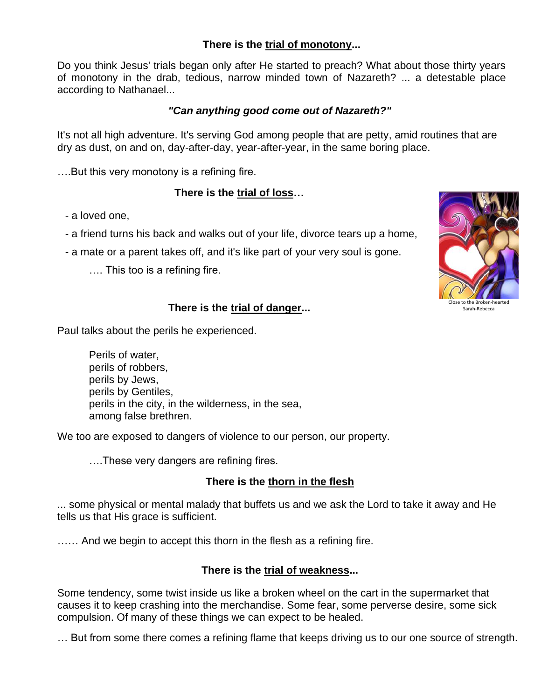## **There is the trial of monotony...**

Do you think Jesus' trials began only after He started to preach? What about those thirty years of monotony in the drab, tedious, narrow minded town of Nazareth? ... a detestable place according to Nathanael...

## *"Can anything good come out of Nazareth?"*

It's not all high adventure. It's serving God among people that are petty, amid routines that are dry as dust, on and on, day-after-day, year-after-year, in the same boring place.

….But this very monotony is a refining fire.

# **There is the trial of loss…**

- a loved one,
- a friend turns his back and walks out of your life, divorce tears up a home,
- a mate or a parent takes off, and it's like part of your very soul is gone.
	- …. This too is a refining fire.



# **There is the trial of danger...**

Paul talks about the perils he experienced.

Perils of water, perils of robbers, perils by Jews, perils by Gentiles, perils in the city, in the wilderness, in the sea, among false brethren.

We too are exposed to dangers of violence to our person, our property.

….These very dangers are refining fires.

# **There is the thorn in the flesh**

... some physical or mental malady that buffets us and we ask the Lord to take it away and He tells us that His grace is sufficient.

...... And we begin to accept this thorn in the flesh as a refining fire.

# **There is the trial of weakness...**

Some tendency, some twist inside us like a broken wheel on the cart in the supermarket that causes it to keep crashing into the merchandise. Some fear, some perverse desire, some sick compulsion. Of many of these things we can expect to be healed.

… But from some there comes a refining flame that keeps driving us to our one source of strength.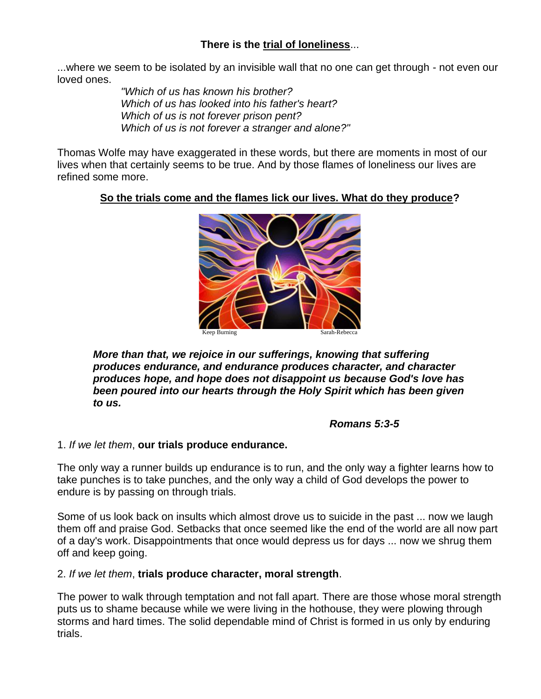# **There is the trial of loneliness**...

...where we seem to be isolated by an invisible wall that no one can get through - not even our loved ones.

> *"Which of us has known his brother? Which of us has looked into his father's heart? Which of us is not forever prison pent? Which of us is not forever a stranger and alone?"*

Thomas Wolfe may have exaggerated in these words, but there are moments in most of our lives when that certainly seems to be true. And by those flames of loneliness our lives are refined some more.

## **So the trials come and the flames lick our lives. What do they produce?**



*More than that, we rejoice in our sufferings, knowing that suffering produces endurance, and endurance produces character, and character produces hope, and hope does not disappoint us because God's love has been poured into our hearts through the Holy Spirit which has been given to us.* 

## *Romans 5:3-5*

#### 1. *If we let them*, **our trials produce endurance.**

The only way a runner builds up endurance is to run, and the only way a fighter learns how to take punches is to take punches, and the only way a child of God develops the power to endure is by passing on through trials.

Some of us look back on insults which almost drove us to suicide in the past ... now we laugh them off and praise God. Setbacks that once seemed like the end of the world are all now part of a day's work. Disappointments that once would depress us for days ... now we shrug them off and keep going.

#### 2. *If we let them*, **trials produce character, moral strength**.

The power to walk through temptation and not fall apart. There are those whose moral strength puts us to shame because while we were living in the hothouse, they were plowing through storms and hard times. The solid dependable mind of Christ is formed in us only by enduring trials.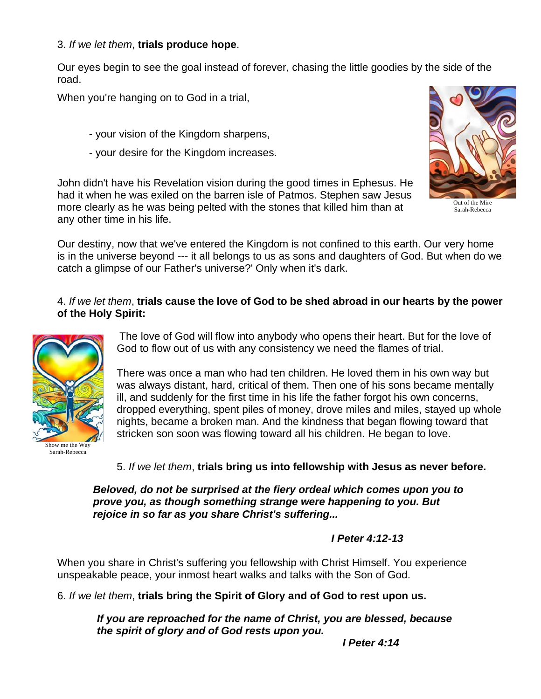## 3. *If we let them*, **trials produce hope**.

Our eyes begin to see the goal instead of forever, chasing the little goodies by the side of the road.

When you're hanging on to God in a trial,

- your vision of the Kingdom sharpens,
- your desire for the Kingdom increases.

John didn't have his Revelation vision during the good times in Ephesus. He had it when he was exiled on the barren isle of Patmos. Stephen saw Jesus more clearly as he was being pelted with the stones that killed him than at any other time in his life.



Sarah-Rebecca

Our destiny, now that we've entered the Kingdom is not confined to this earth. Our very home is in the universe beyond --- it all belongs to us as sons and daughters of God. But when do we catch a glimpse of our Father's universe?' Only when it's dark.

## 4. *If we let them*, **trials cause the love of God to be shed abroad in our hearts by the power of the Holy Spirit:**



Sarah-Rebecca

The love of God will flow into anybody who opens their heart. But for the love of God to flow out of us with any consistency we need the flames of trial.

There was once a man who had ten children. He loved them in his own way but was always distant, hard, critical of them. Then one of his sons became mentally ill, and suddenly for the first time in his life the father forgot his own concerns, dropped everything, spent piles of money, drove miles and miles, stayed up whole nights, became a broken man. And the kindness that began flowing toward that stricken son soon was flowing toward all his children. He began to love.

5. *If we let them*, **trials bring us into fellowship with Jesus as never before.**

*Beloved, do not be surprised at the fiery ordeal which comes upon you to prove you, as though something strange were happening to you. But rejoice in so far as you share Christ's suffering...*

*I Peter 4:12-13*

When you share in Christ's suffering you fellowship with Christ Himself. You experience unspeakable peace, your inmost heart walks and talks with the Son of God.

6. *If we let them*, **trials bring the Spirit of Glory and of God to rest upon us.**

*If you are reproached for the name of Christ, you are blessed, because the spirit of glory and of God rests upon you.*

*I Peter 4:14*